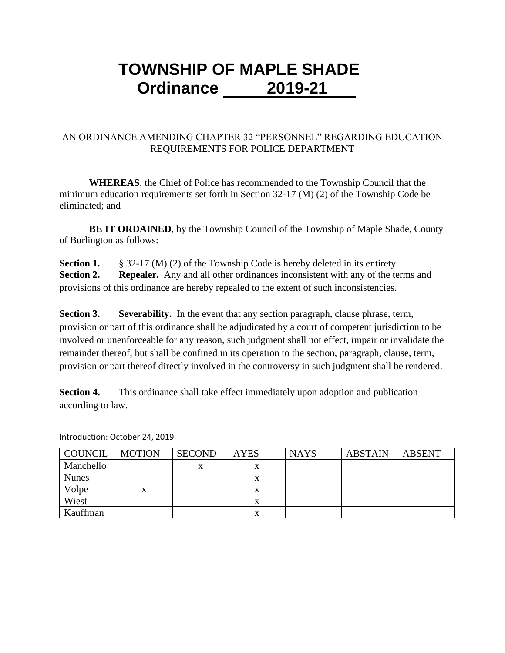## **TOWNSHIP OF MAPLE SHADE Ordinance 2019-21**

## AN ORDINANCE AMENDING CHAPTER 32 "PERSONNEL" REGARDING EDUCATION REQUIREMENTS FOR POLICE DEPARTMENT

**WHEREAS**, the Chief of Police has recommended to the Township Council that the minimum education requirements set forth in Section 32-17 (M) (2) of the Township Code be eliminated; and

**BE IT ORDAINED**, by the Township Council of the Township of Maple Shade, County of Burlington as follows:

**Section 1.** § 32-17 (M) (2) of the Township Code is hereby deleted in its entirety. **Section 2. Repealer.** Any and all other ordinances inconsistent with any of the terms and provisions of this ordinance are hereby repealed to the extent of such inconsistencies.

**Section 3. Severability.** In the event that any section paragraph, clause phrase, term, provision or part of this ordinance shall be adjudicated by a court of competent jurisdiction to be involved or unenforceable for any reason, such judgment shall not effect, impair or invalidate the remainder thereof, but shall be confined in its operation to the section, paragraph, clause, term, provision or part thereof directly involved in the controversy in such judgment shall be rendered.

**Section 4.** This ordinance shall take effect immediately upon adoption and publication according to law.

| COUNCIL      | <b>MOTION</b> | <b>SECOND</b> | <b>AYES</b> | <b>NAYS</b> | <b>ABSTAIN</b> | <b>ABSENT</b> |
|--------------|---------------|---------------|-------------|-------------|----------------|---------------|
| Manchello    |               |               | л           |             |                |               |
| <b>Nunes</b> |               |               | х           |             |                |               |
| Volpe        | x             |               | $\Lambda$   |             |                |               |
| Wiest        |               |               |             |             |                |               |
| Kauffman     |               |               | X           |             |                |               |

Introduction: October 24, 2019